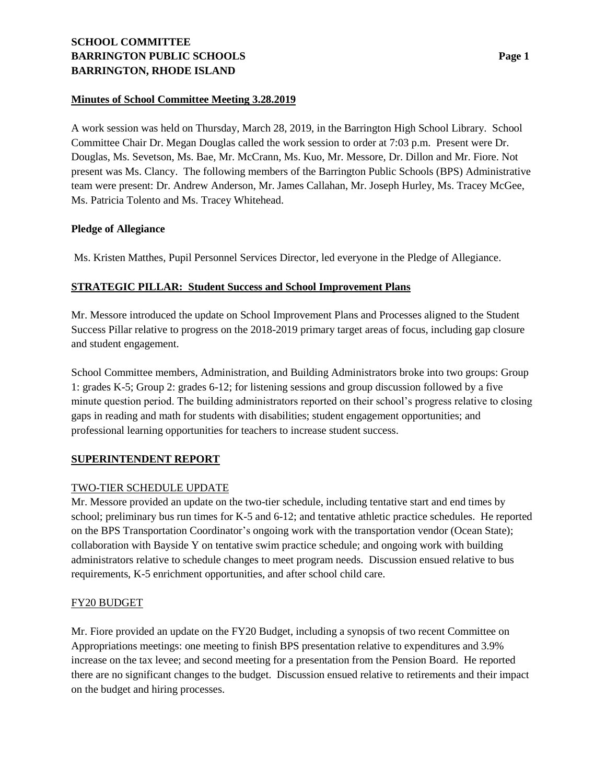# **SCHOOL COMMITTEE BARRINGTON PUBLIC SCHOOLS Page 1 BARRINGTON, RHODE ISLAND**

## **Minutes of School Committee Meeting 3.28.2019**

A work session was held on Thursday, March 28, 2019, in the Barrington High School Library. School Committee Chair Dr. Megan Douglas called the work session to order at 7:03 p.m. Present were Dr. Douglas, Ms. Sevetson, Ms. Bae, Mr. McCrann, Ms. Kuo, Mr. Messore, Dr. Dillon and Mr. Fiore. Not present was Ms. Clancy. The following members of the Barrington Public Schools (BPS) Administrative team were present: Dr. Andrew Anderson, Mr. James Callahan, Mr. Joseph Hurley, Ms. Tracey McGee, Ms. Patricia Tolento and Ms. Tracey Whitehead.

## **Pledge of Allegiance**

Ms. Kristen Matthes, Pupil Personnel Services Director, led everyone in the Pledge of Allegiance.

# **STRATEGIC PILLAR: Student Success and School Improvement Plans**

Mr. Messore introduced the update on School Improvement Plans and Processes aligned to the Student Success Pillar relative to progress on the 2018-2019 primary target areas of focus, including gap closure and student engagement.

School Committee members, Administration, and Building Administrators broke into two groups: Group 1: grades K-5; Group 2: grades 6-12; for listening sessions and group discussion followed by a five minute question period. The building administrators reported on their school's progress relative to closing gaps in reading and math for students with disabilities; student engagement opportunities; and professional learning opportunities for teachers to increase student success.

# **SUPERINTENDENT REPORT**

# TWO-TIER SCHEDULE UPDATE

Mr. Messore provided an update on the two-tier schedule, including tentative start and end times by school; preliminary bus run times for K-5 and 6-12; and tentative athletic practice schedules. He reported on the BPS Transportation Coordinator's ongoing work with the transportation vendor (Ocean State); collaboration with Bayside Y on tentative swim practice schedule; and ongoing work with building administrators relative to schedule changes to meet program needs. Discussion ensued relative to bus requirements, K-5 enrichment opportunities, and after school child care.

#### FY20 BUDGET

Mr. Fiore provided an update on the FY20 Budget, including a synopsis of two recent Committee on Appropriations meetings: one meeting to finish BPS presentation relative to expenditures and 3.9% increase on the tax levee; and second meeting for a presentation from the Pension Board. He reported there are no significant changes to the budget. Discussion ensued relative to retirements and their impact on the budget and hiring processes.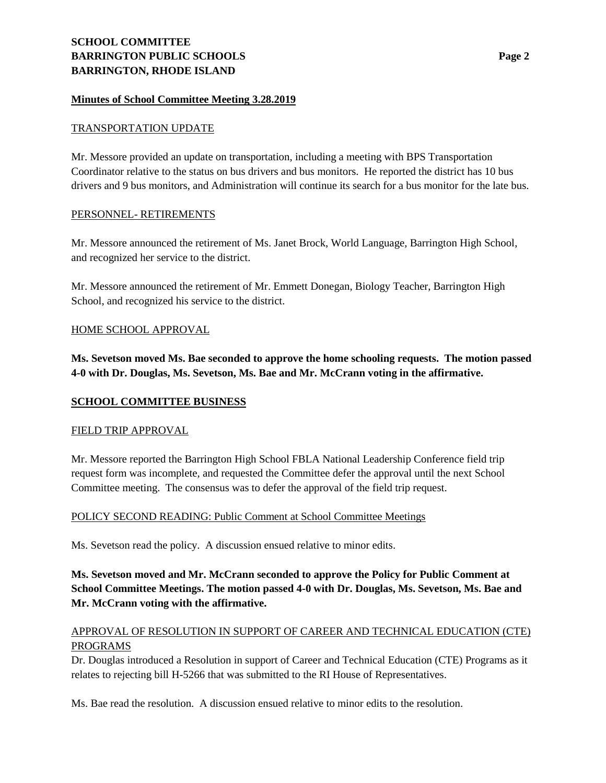#### **Minutes of School Committee Meeting 3.28.2019**

#### TRANSPORTATION UPDATE

Mr. Messore provided an update on transportation, including a meeting with BPS Transportation Coordinator relative to the status on bus drivers and bus monitors. He reported the district has 10 bus drivers and 9 bus monitors, and Administration will continue its search for a bus monitor for the late bus.

#### PERSONNEL- RETIREMENTS

Mr. Messore announced the retirement of Ms. Janet Brock, World Language, Barrington High School, and recognized her service to the district.

Mr. Messore announced the retirement of Mr. Emmett Donegan, Biology Teacher, Barrington High School, and recognized his service to the district.

## HOME SCHOOL APPROVAL

**Ms. Sevetson moved Ms. Bae seconded to approve the home schooling requests. The motion passed 4-0 with Dr. Douglas, Ms. Sevetson, Ms. Bae and Mr. McCrann voting in the affirmative.** 

## **SCHOOL COMMITTEE BUSINESS**

#### FIELD TRIP APPROVAL

Mr. Messore reported the Barrington High School FBLA National Leadership Conference field trip request form was incomplete, and requested the Committee defer the approval until the next School Committee meeting. The consensus was to defer the approval of the field trip request.

# POLICY SECOND READING: Public Comment at School Committee Meetings

Ms. Sevetson read the policy. A discussion ensued relative to minor edits.

**Ms. Sevetson moved and Mr. McCrann seconded to approve the Policy for Public Comment at School Committee Meetings. The motion passed 4-0 with Dr. Douglas, Ms. Sevetson, Ms. Bae and Mr. McCrann voting with the affirmative.**

## APPROVAL OF RESOLUTION IN SUPPORT OF CAREER AND TECHNICAL EDUCATION (CTE) PROGRAMS

Dr. Douglas introduced a Resolution in support of Career and Technical Education (CTE) Programs as it relates to rejecting bill H-5266 that was submitted to the RI House of Representatives.

Ms. Bae read the resolution. A discussion ensued relative to minor edits to the resolution.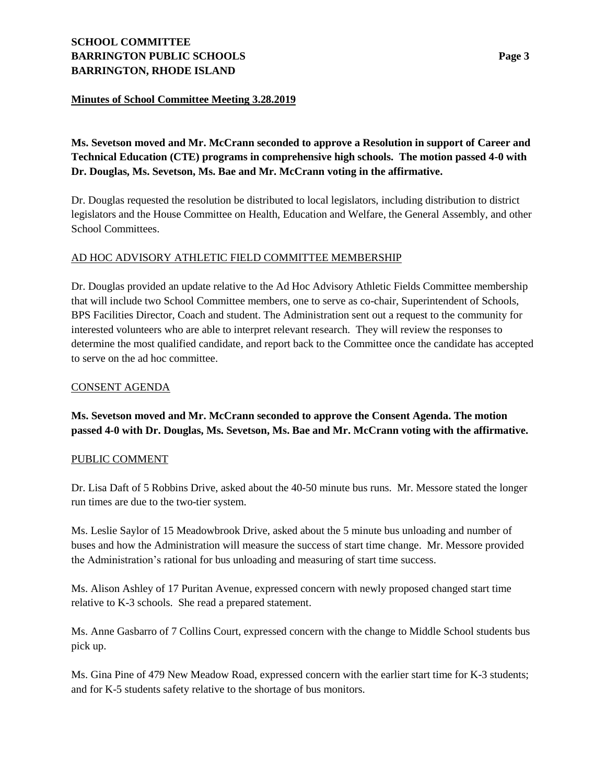# **SCHOOL COMMITTEE BARRINGTON PUBLIC SCHOOLS Page 3 BARRINGTON, RHODE ISLAND**

## **Minutes of School Committee Meeting 3.28.2019**

**Ms. Sevetson moved and Mr. McCrann seconded to approve a Resolution in support of Career and Technical Education (CTE) programs in comprehensive high schools. The motion passed 4-0 with Dr. Douglas, Ms. Sevetson, Ms. Bae and Mr. McCrann voting in the affirmative.** 

Dr. Douglas requested the resolution be distributed to local legislators, including distribution to district legislators and the House Committee on Health, Education and Welfare, the General Assembly, and other School Committees.

# AD HOC ADVISORY ATHLETIC FIELD COMMITTEE MEMBERSHIP

Dr. Douglas provided an update relative to the Ad Hoc Advisory Athletic Fields Committee membership that will include two School Committee members, one to serve as co-chair, Superintendent of Schools, BPS Facilities Director, Coach and student. The Administration sent out a request to the community for interested volunteers who are able to interpret relevant research. They will review the responses to determine the most qualified candidate, and report back to the Committee once the candidate has accepted to serve on the ad hoc committee.

#### CONSENT AGENDA

**Ms. Sevetson moved and Mr. McCrann seconded to approve the Consent Agenda. The motion passed 4-0 with Dr. Douglas, Ms. Sevetson, Ms. Bae and Mr. McCrann voting with the affirmative.**

#### PUBLIC COMMENT

Dr. Lisa Daft of 5 Robbins Drive, asked about the 40-50 minute bus runs. Mr. Messore stated the longer run times are due to the two-tier system.

Ms. Leslie Saylor of 15 Meadowbrook Drive, asked about the 5 minute bus unloading and number of buses and how the Administration will measure the success of start time change. Mr. Messore provided the Administration's rational for bus unloading and measuring of start time success.

Ms. Alison Ashley of 17 Puritan Avenue, expressed concern with newly proposed changed start time relative to K-3 schools. She read a prepared statement.

Ms. Anne Gasbarro of 7 Collins Court, expressed concern with the change to Middle School students bus pick up.

Ms. Gina Pine of 479 New Meadow Road, expressed concern with the earlier start time for K-3 students; and for K-5 students safety relative to the shortage of bus monitors.